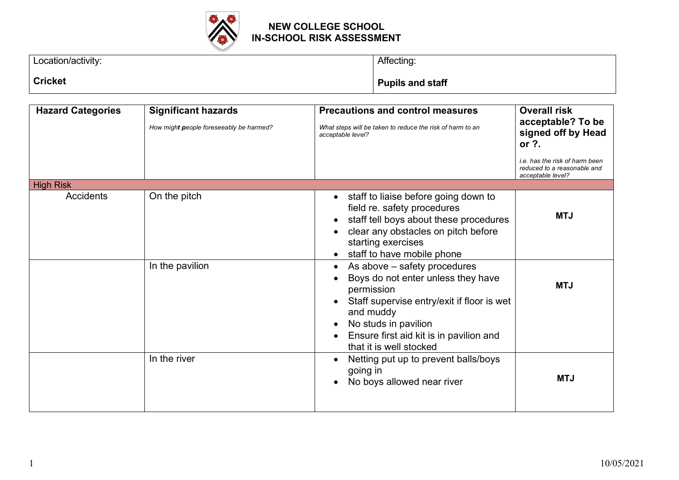

| Location/activity: | Affecting:              |  |
|--------------------|-------------------------|--|
|                    |                         |  |
| <b>Cricket</b>     | <b>Pupils and staff</b> |  |
|                    |                         |  |

| <b>Hazard Categories</b> | <b>Significant hazards</b><br>How might people foreseeably be harmed? | <b>Precautions and control measures</b><br>What steps will be taken to reduce the risk of harm to an<br>acceptable level?                                                                                                                              | <b>Overall risk</b><br>acceptable? To be<br>signed off by Head<br>or ?.                   |
|--------------------------|-----------------------------------------------------------------------|--------------------------------------------------------------------------------------------------------------------------------------------------------------------------------------------------------------------------------------------------------|-------------------------------------------------------------------------------------------|
|                          |                                                                       |                                                                                                                                                                                                                                                        | <i>i.e. has the risk of harm been</i><br>reduced to a reasonable and<br>acceptable level? |
| <b>High Risk</b>         |                                                                       |                                                                                                                                                                                                                                                        |                                                                                           |
| Accidents                | On the pitch                                                          | staff to liaise before going down to<br>$\bullet$<br>field re. safety procedures<br>staff tell boys about these procedures<br>clear any obstacles on pitch before<br>starting exercises<br>staff to have mobile phone                                  | <b>MTJ</b>                                                                                |
|                          | In the pavilion                                                       | As above - safety procedures<br>$\bullet$<br>Boys do not enter unless they have<br>permission<br>Staff supervise entry/exit if floor is wet<br>and muddy<br>No studs in pavilion<br>Ensure first aid kit is in pavilion and<br>that it is well stocked | <b>MTJ</b>                                                                                |
|                          | In the river                                                          | Netting put up to prevent balls/boys<br>going in<br>No boys allowed near river                                                                                                                                                                         | <b>MTJ</b>                                                                                |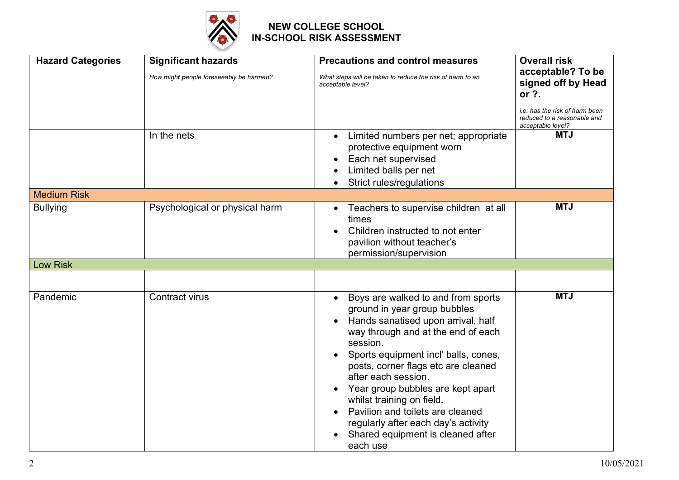

| <b>Hazard Categories</b> | <b>Significant hazards</b><br>How might people foreseeably be harmed?<br>In the nets | <b>Precautions and control measures</b><br>What steps will be taken to reduce the risk of harm to an<br>acceptable level?<br>Limited numbers per net; appropriate                                                                                                                                                                                                                                                                                              | <b>Overall risk</b><br>acceptable? To be<br>signed off by Head<br>or ?.<br>i.e. has the risk of harm been<br>reduced to a reasonable and<br>acceptable level?<br><b>MTJ</b> |
|--------------------------|--------------------------------------------------------------------------------------|----------------------------------------------------------------------------------------------------------------------------------------------------------------------------------------------------------------------------------------------------------------------------------------------------------------------------------------------------------------------------------------------------------------------------------------------------------------|-----------------------------------------------------------------------------------------------------------------------------------------------------------------------------|
|                          |                                                                                      | protective equipment worn<br>Each net supervised<br>Limited balls per net<br>Strict rules/regulations                                                                                                                                                                                                                                                                                                                                                          |                                                                                                                                                                             |
| <b>Medium Risk</b>       |                                                                                      |                                                                                                                                                                                                                                                                                                                                                                                                                                                                |                                                                                                                                                                             |
| <b>Bullying</b>          | Psychological or physical harm                                                       | Teachers to supervise children at all<br>$\bullet$<br>times<br>Children instructed to not enter<br>pavilion without teacher's<br>permission/supervision                                                                                                                                                                                                                                                                                                        | <b>MTJ</b>                                                                                                                                                                  |
| <b>Low Risk</b>          |                                                                                      |                                                                                                                                                                                                                                                                                                                                                                                                                                                                |                                                                                                                                                                             |
|                          |                                                                                      |                                                                                                                                                                                                                                                                                                                                                                                                                                                                |                                                                                                                                                                             |
| Pandemic                 | Contract virus                                                                       | Boys are walked to and from sports<br>ground in year group bubbles<br>Hands sanatised upon arrival, half<br>way through and at the end of each<br>session.<br>Sports equipment incl' balls, cones,<br>posts, corner flags etc are cleaned<br>after each session.<br>Year group bubbles are kept apart<br>whilst training on field.<br>Pavilion and toilets are cleaned<br>regularly after each day's activity<br>Shared equipment is cleaned after<br>each use | <b>MTJ</b>                                                                                                                                                                  |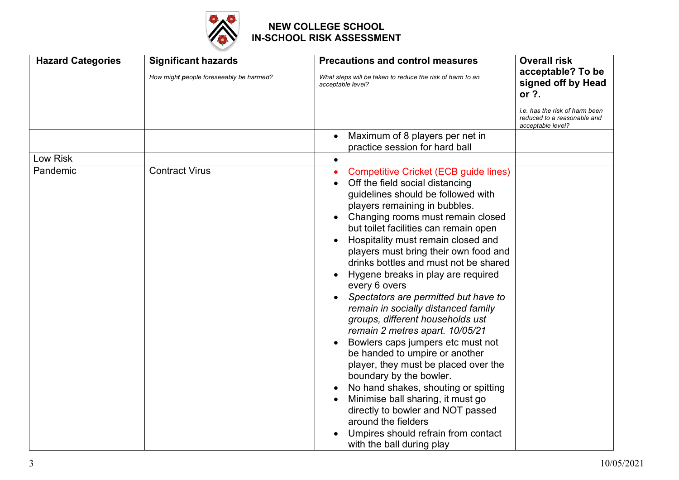

| <b>Hazard Categories</b> | <b>Significant hazards</b>              | <b>Precautions and control measures</b>                                                                                                                                                                                                                                                                                                                                                                                                                                                                                                                                                                                                                                                                                                                                                                                                                                                                                          | <b>Overall risk</b>                                                                |
|--------------------------|-----------------------------------------|----------------------------------------------------------------------------------------------------------------------------------------------------------------------------------------------------------------------------------------------------------------------------------------------------------------------------------------------------------------------------------------------------------------------------------------------------------------------------------------------------------------------------------------------------------------------------------------------------------------------------------------------------------------------------------------------------------------------------------------------------------------------------------------------------------------------------------------------------------------------------------------------------------------------------------|------------------------------------------------------------------------------------|
|                          | How might people foreseeably be harmed? | What steps will be taken to reduce the risk of harm to an<br>acceptable level?                                                                                                                                                                                                                                                                                                                                                                                                                                                                                                                                                                                                                                                                                                                                                                                                                                                   | acceptable? To be<br>signed off by Head<br>or ?.                                   |
|                          |                                         |                                                                                                                                                                                                                                                                                                                                                                                                                                                                                                                                                                                                                                                                                                                                                                                                                                                                                                                                  | i.e. has the risk of harm been<br>reduced to a reasonable and<br>acceptable level? |
|                          |                                         | Maximum of 8 players per net in<br>practice session for hard ball                                                                                                                                                                                                                                                                                                                                                                                                                                                                                                                                                                                                                                                                                                                                                                                                                                                                |                                                                                    |
| Low Risk                 |                                         | $\bullet$                                                                                                                                                                                                                                                                                                                                                                                                                                                                                                                                                                                                                                                                                                                                                                                                                                                                                                                        |                                                                                    |
| Pandemic                 | <b>Contract Virus</b>                   | <b>Competitive Cricket (ECB guide lines)</b><br>Off the field social distancing<br>guidelines should be followed with<br>players remaining in bubbles.<br>Changing rooms must remain closed<br>but toilet facilities can remain open<br>Hospitality must remain closed and<br>players must bring their own food and<br>drinks bottles and must not be shared<br>Hygene breaks in play are required<br>every 6 overs<br>Spectators are permitted but have to<br>remain in socially distanced family<br>groups, different households ust<br>remain 2 metres apart. 10/05/21<br>Bowlers caps jumpers etc must not<br>be handed to umpire or another<br>player, they must be placed over the<br>boundary by the bowler.<br>No hand shakes, shouting or spitting<br>Minimise ball sharing, it must go<br>directly to bowler and NOT passed<br>around the fielders<br>Umpires should refrain from contact<br>with the ball during play |                                                                                    |